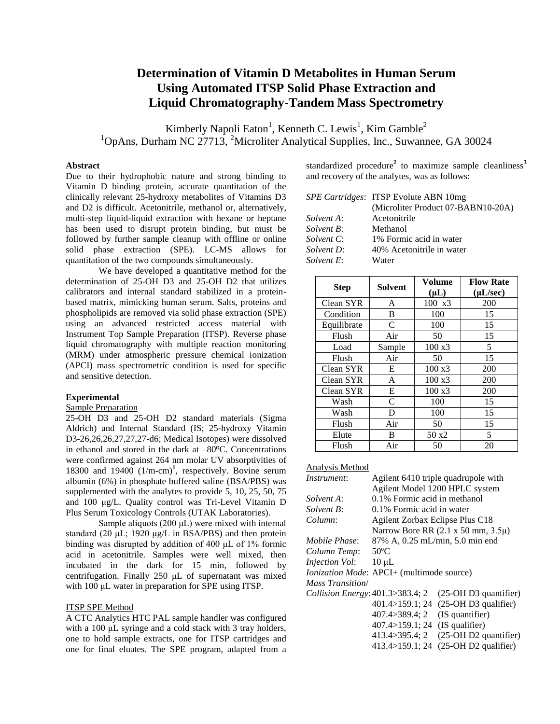# **Determination of Vitamin D Metabolites in Human Serum Using Automated ITSP Solid Phase Extraction and Liquid Chromatography-Tandem Mass Spectrometry**

Kimberly Napoli Eaton<sup>1</sup>, Kenneth C. Lewis<sup>1</sup>, Kim Gamble<sup>2</sup>  $1$ OpAns, Durham NC 27713, <sup>2</sup>Microliter Analytical Supplies, Inc., Suwannee, GA 30024

# **Abstract**

Due to their hydrophobic nature and strong binding to Vitamin D binding protein, accurate quantitation of the clinically relevant 25-hydroxy metabolites of Vitamins D3 and D2 is difficult. Acetonitrile, methanol or, alternatively, multi-step liquid-liquid extraction with hexane or heptane has been used to disrupt protein binding, but must be followed by further sample cleanup with offline or online solid phase extraction (SPE). LC-MS allows for quantitation of the two compounds simultaneously.

We have developed a quantitative method for the determination of 25-OH D3 and 25-OH D2 that utilizes calibrators and internal standard stabilized in a proteinbased matrix, mimicking human serum. Salts, proteins and phospholipids are removed via solid phase extraction (SPE) using an advanced restricted access material with Instrument Top Sample Preparation (ITSP). Reverse phase liquid chromatography with multiple reaction monitoring (MRM) under atmospheric pressure chemical ionization (APCI) mass spectrometric condition is used for specific and sensitive detection.

## **Experimental**

## Sample Preparation

25-OH D3 and 25-OH D2 standard materials (Sigma Aldrich) and Internal Standard (IS; 25-hydroxy Vitamin D3-26,26,26,27,27,27-d6; Medical Isotopes) were dissolved in ethanol and stored in the dark at –80ºC. Concentrations were confirmed against 264 nm molar UV absorptivities of 18300 and 19400  $(1/m$ -cm)<sup>1</sup>, respectively. Bovine serum albumin (6%) in phosphate buffered saline (BSA/PBS) was supplemented with the analytes to provide 5, 10, 25, 50, 75 and 100 μg/L. Quality control was Tri-Level Vitamin D Plus Serum Toxicology Controls (UTAK Laboratories).

Sample aliquots (200 μL) were mixed with internal standard (20  $\mu$ L; 1920  $\mu$ g/L in BSA/PBS) and then protein binding was disrupted by addition of 400 μL of 1% formic acid in acetonitrile. Samples were well mixed, then incubated in the dark for 15 min, followed by centrifugation. Finally 250 μL of supernatant was mixed with 100 μL water in preparation for SPE using ITSP.

#### ITSP SPE Method

A CTC Analytics HTC PAL sample handler was configured with a 100 μL syringe and a cold stack with 3 tray holders, one to hold sample extracts, one for ITSP cartridges and one for final eluates. The SPE program, adapted from a

standardized procedure**<sup>2</sup>** to maximize sample cleanliness**<sup>3</sup>** and recovery of the analytes, was as follows:

|                   | <i>SPE Cartridges:</i> ITSP Evolute ABN 10mg |  |  |  |
|-------------------|----------------------------------------------|--|--|--|
|                   | (Microliter Product 07-BABN10-20A)           |  |  |  |
| Solvent A:        | Acetonitrile                                 |  |  |  |
| Solvent B:        | Methanol                                     |  |  |  |
| <i>Solvent C:</i> | 1% Formic acid in water                      |  |  |  |
| Solvent D:        | 40% Acetonitrile in water                    |  |  |  |
| <i>Solvent E:</i> | Water                                        |  |  |  |

| <b>Step</b> | <b>Solvent</b> | Volume<br>$(\mu L)$ | <b>Flow Rate</b><br>$(\mu L/sec)$ |
|-------------|----------------|---------------------|-----------------------------------|
| Clean SYR   | A              | $100 \text{ x}3$    | 200                               |
| Condition   | B              | 100                 | 15                                |
| Equilibrate | $\mathcal{C}$  | 100                 | 15                                |
| Flush       | Air            | 50                  | 15                                |
| Load        | Sample         | $100 \text{ x}3$    | 5                                 |
| Flush       | Air            | 50                  | 15                                |
| Clean SYR   | E              | $100 \text{ x}3$    | 200                               |
| Clean SYR   | A              | $100 \text{ x}3$    | 200                               |
| Clean SYR   | E              | $100 \text{ x}3$    | 200                               |
| Wash        | $\mathcal{C}$  | 100                 | 15                                |
| Wash        | D              | 100                 | 15                                |
| Flush       | Air            | 50                  | 15                                |
| Elute       | B              | 50x2                | 5                                 |
| Flush       | Air            | 50                  | 20                                |

# Analysis Method

| Instrument:                           | Agilent 6410 triple quadrupole with                 |                         |  |  |  |
|---------------------------------------|-----------------------------------------------------|-------------------------|--|--|--|
|                                       | Agilent Model 1200 HPLC system                      |                         |  |  |  |
| <i>Solvent A</i> :                    | 0.1% Formic acid in methanol                        |                         |  |  |  |
| Solvent B:                            | 0.1% Formic acid in water                           |                         |  |  |  |
| Column:                               | Agilent Zorbax Eclipse Plus C18                     |                         |  |  |  |
|                                       | Narrow Bore RR $(2.1 \times 50 \text{ mm}, 3.5\mu)$ |                         |  |  |  |
| <i>Mobile Phase:</i>                  | 87% A, 0.25 mL/min, 5.0 min end                     |                         |  |  |  |
| Column Temp:                          | $50^{\circ}$ C                                      |                         |  |  |  |
| <b>Injection Vol:</b>                 | $10 \mu L$                                          |                         |  |  |  |
|                                       | Ionization Mode: APCI+ (multimode source)           |                         |  |  |  |
| <b>Mass Transition</b> /              |                                                     |                         |  |  |  |
| Collision Energy: $401.3 > 383.4$ ; 2 |                                                     | $(25-OH D3$ quantifier) |  |  |  |
|                                       | $401.4 > 159.1$ ; 24                                | $(25-OH D3$ qualifier)  |  |  |  |
|                                       | 407.4>389.4: 2                                      | (IS quantifier)         |  |  |  |
|                                       | 407.4>159.1; 24                                     | (IS qualifier)          |  |  |  |
|                                       | 413.4>395.4; 2                                      | (25-OH D2 quantifier)   |  |  |  |
|                                       | 413.4>159.1:24                                      | (25-OH D2 qualifier)    |  |  |  |
|                                       |                                                     |                         |  |  |  |